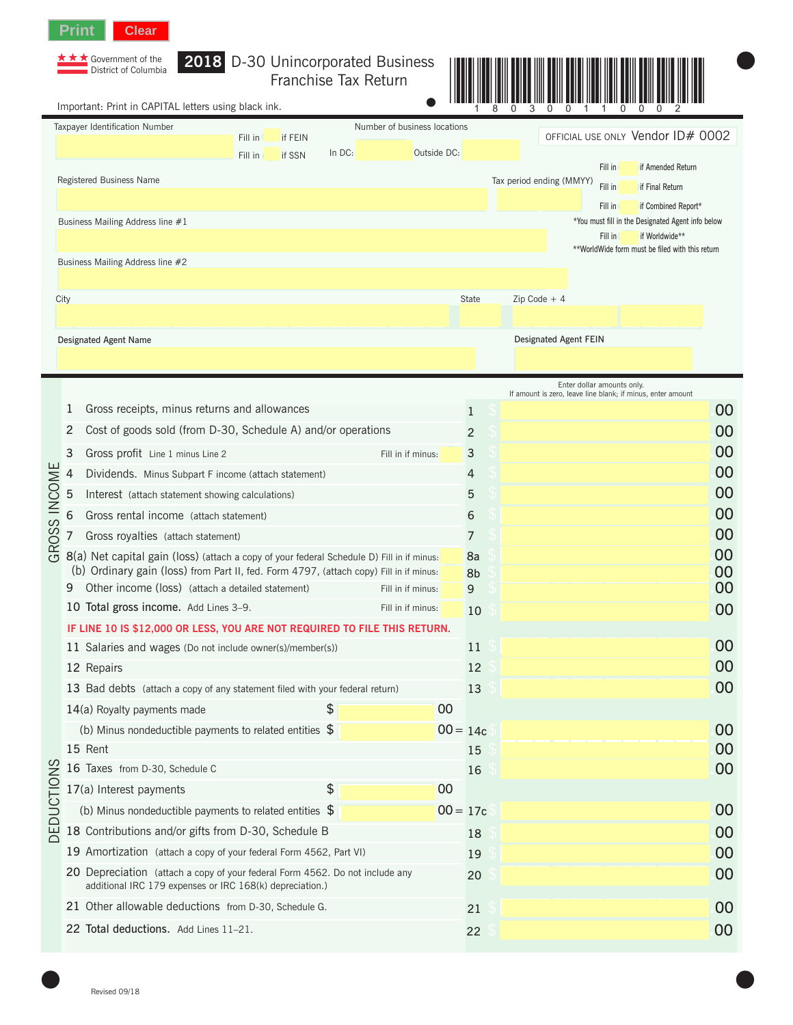

f,

Government of the **2018** D-30 Unincorporated Business Franchise Tax Return



 $\bullet$ 

|             |                | Important: Print in CAPITAL letters using black ink.                                                                                                                                |         |        |                              |            |                |                          | 0                          |                                                                          |          |
|-------------|----------------|-------------------------------------------------------------------------------------------------------------------------------------------------------------------------------------|---------|--------|------------------------------|------------|----------------|--------------------------|----------------------------|--------------------------------------------------------------------------|----------|
|             |                | Taxpayer Identification Number<br>Fill in                                                                                                                                           | if FEIN |        | Number of business locations |            |                |                          |                            | OFFICIAL USE ONLY Vendor ID# 0002                                        |          |
|             |                | Fill in<br>Registered Business Name                                                                                                                                                 | if SSN  | In DC: | Outside DC:                  |            |                | Tax period ending (MMYY) | Fill in<br>Fill in         | if Amended Return<br>if Final Return                                     |          |
|             |                | Business Mailing Address line #1                                                                                                                                                    |         |        |                              |            |                |                          | Fill in                    | if Combined Report*<br>*You must fill in the Designated Agent info below |          |
|             |                |                                                                                                                                                                                     |         |        |                              |            |                |                          | Fill in                    | if Worldwide**<br>**WorldWide form must be filed with this return        |          |
|             |                | Business Mailing Address line #2                                                                                                                                                    |         |        |                              |            |                |                          |                            |                                                                          |          |
|             | City           |                                                                                                                                                                                     |         |        |                              |            | State          | $Zip Code + 4$           |                            |                                                                          |          |
|             |                | Designated Agent Name                                                                                                                                                               |         |        |                              |            |                | Designated Agent FEIN    |                            |                                                                          |          |
|             |                |                                                                                                                                                                                     |         |        |                              |            |                |                          |                            |                                                                          |          |
|             |                |                                                                                                                                                                                     |         |        |                              |            |                |                          | Enter dollar amounts only. | If amount is zero, leave line blank; if minus, enter amount              |          |
| ROSS INCOME | 1              | Gross receipts, minus returns and allowances                                                                                                                                        |         |        |                              |            | 1              |                          |                            |                                                                          | 00       |
|             | $\overline{2}$ | Cost of goods sold (from D-30, Schedule A) and/or operations                                                                                                                        |         |        |                              |            | $\overline{c}$ |                          |                            |                                                                          | 00       |
|             | 3              | Gross profit Line 1 minus Line 2                                                                                                                                                    |         |        | Fill in if minus:            |            | 3              |                          |                            |                                                                          | 00       |
|             | 4              | Dividends. Minus Subpart F income (attach statement)                                                                                                                                |         |        |                              |            | 4              |                          |                            |                                                                          | 00       |
|             | 5              | Interest (attach statement showing calculations)                                                                                                                                    |         |        |                              |            | 5              |                          |                            |                                                                          | 00       |
|             | 6              | Gross rental income (attach statement)                                                                                                                                              |         |        |                              |            | 6              |                          |                            |                                                                          | 00       |
|             | 7              | Gross royalties (attach statement)                                                                                                                                                  |         |        |                              |            | 7              |                          |                            |                                                                          | 00       |
| $\sigma$    |                | 8(a) Net capital gain (loss) (attach a copy of your federal Schedule D) Fill in if minus:<br>(b) Ordinary gain (loss) from Part II, fed. Form 4797, (attach copy) Fill in if minus: |         |        |                              |            | 8a<br>8b       |                          |                            |                                                                          | 00<br>00 |
|             | 9              | Other income (loss) (attach a detailed statement)                                                                                                                                   |         |        | Fill in if minus:            |            | 9              |                          |                            |                                                                          | 00       |
|             |                | 10 Total gross income. Add Lines 3-9.                                                                                                                                               |         |        | Fill in if minus:            |            | 10             |                          |                            |                                                                          | 00       |
|             |                | IF LINE 10 IS \$12,000 OR LESS, YOU ARE NOT REQUIRED TO FILE THIS RETURN.                                                                                                           |         |        |                              |            |                |                          |                            |                                                                          |          |
|             |                | 11 Salaries and wages (Do not include owner(s)/member(s))                                                                                                                           |         |        |                              |            | 11             |                          |                            |                                                                          | 00       |
|             |                | 12 Repairs                                                                                                                                                                          |         |        |                              |            | 12             |                          |                            |                                                                          | 00       |
|             |                | 13 Bad debts (attach a copy of any statement filed with your federal return)                                                                                                        |         |        |                              |            | 13             |                          |                            |                                                                          | 00       |
|             |                | 14(a) Royalty payments made                                                                                                                                                         | \$      |        |                              | 00         |                |                          |                            |                                                                          |          |
|             |                | (b) Minus nondeductible payments to related entities \$                                                                                                                             |         |        |                              | $00 = 14c$ |                |                          |                            |                                                                          | 00       |
|             |                | 15 Rent                                                                                                                                                                             |         |        |                              |            | 15             |                          |                            |                                                                          | 00       |
|             |                | 16 Taxes from D-30, Schedule C                                                                                                                                                      |         |        |                              |            | 16             |                          |                            |                                                                          | 00       |
| EDUCTIONS   |                | 17(a) Interest payments                                                                                                                                                             | \$      |        |                              | 00         |                |                          |                            |                                                                          |          |
|             |                | (b) Minus nondeductible payments to related entities $$$                                                                                                                            |         |        |                              | $00 = 17c$ |                |                          |                            |                                                                          | 00       |
| $\bigcap$   |                | 18 Contributions and/or gifts from D-30, Schedule B                                                                                                                                 |         |        |                              |            | 18             |                          |                            |                                                                          | 00       |
|             |                | 19 Amortization (attach a copy of your federal Form 4562, Part VI)                                                                                                                  |         |        |                              |            | 19             |                          |                            |                                                                          | 00       |
|             |                | 20 Depreciation (attach a copy of your federal Form 4562. Do not include any<br>additional IRC 179 expenses or IRC 168(k) depreciation.)                                            |         |        |                              |            | 20             |                          |                            |                                                                          | 00       |
|             |                | 21 Other allowable deductions from D-30, Schedule G.                                                                                                                                |         |        |                              |            | 21             |                          |                            |                                                                          | 00       |
|             |                | 22 Total deductions. Add Lines 11-21.                                                                                                                                               |         |        |                              |            | 22             |                          |                            |                                                                          | 00       |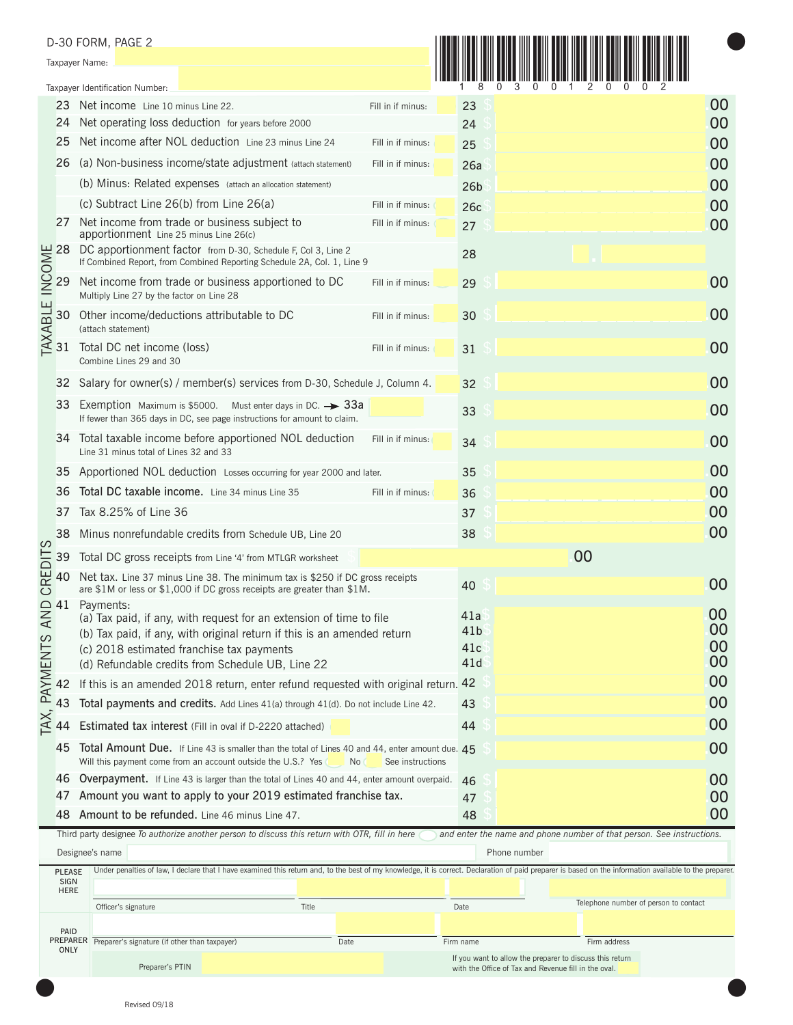|                    |                                             | D-30 FORM, PAGE 2<br>Taxpayer Name:                                                                                                                                                                                                                          |                   |                                      |                                                                                                                  |                      |
|--------------------|---------------------------------------------|--------------------------------------------------------------------------------------------------------------------------------------------------------------------------------------------------------------------------------------------------------------|-------------------|--------------------------------------|------------------------------------------------------------------------------------------------------------------|----------------------|
|                    |                                             |                                                                                                                                                                                                                                                              |                   |                                      |                                                                                                                  |                      |
|                    | 23                                          | Taxpayer Identification Number:<br>Net income Line 10 minus Line 22.                                                                                                                                                                                         | Fill in if minus: | 23                                   |                                                                                                                  | 00                   |
|                    | 24                                          | Net operating loss deduction for years before 2000                                                                                                                                                                                                           |                   | 24                                   |                                                                                                                  | 00                   |
|                    | 25                                          | Net income after NOL deduction Line 23 minus Line 24                                                                                                                                                                                                         | Fill in if minus: | 25                                   |                                                                                                                  | 00                   |
|                    | 26                                          | (a) Non-business income/state adjustment (attach statement)                                                                                                                                                                                                  | Fill in if minus: | 26a                                  |                                                                                                                  | 00                   |
|                    |                                             | (b) Minus: Related expenses (attach an allocation statement)                                                                                                                                                                                                 |                   | 26 <sub>b</sub>                      |                                                                                                                  | 00                   |
|                    |                                             | (c) Subtract Line 26(b) from Line 26(a)                                                                                                                                                                                                                      | Fill in if minus: |                                      |                                                                                                                  | 00                   |
|                    | 27                                          | Net income from trade or business subject to                                                                                                                                                                                                                 | Fill in if minus: | 26 <sub>c</sub><br>27                |                                                                                                                  | 00                   |
|                    |                                             | apportionment Line 25 minus Line 26(c)<br>DC apportionment factor from D-30, Schedule F, Col 3, Line 2                                                                                                                                                       |                   | 28                                   |                                                                                                                  |                      |
|                    |                                             | If Combined Report, from Combined Reporting Schedule 2A, Col. 1, Line 9                                                                                                                                                                                      |                   |                                      |                                                                                                                  |                      |
|                    |                                             | Net income from trade or business apportioned to DC<br>Multiply Line 27 by the factor on Line 28                                                                                                                                                             | Fill in if minus: | 29                                   |                                                                                                                  | 00                   |
|                    | MENAGUE INCOME<br>28<br>29<br>30<br>31      | Other income/deductions attributable to DC<br>(attach statement)                                                                                                                                                                                             | Fill in if minus: | 30                                   |                                                                                                                  | 00                   |
|                    |                                             | Total DC net income (loss)<br>Combine Lines 29 and 30                                                                                                                                                                                                        | Fill in if minus: | 31                                   |                                                                                                                  | 00                   |
|                    |                                             | 32 Salary for owner(s) / member(s) services from D-30, Schedule J, Column 4.                                                                                                                                                                                 |                   | 32                                   |                                                                                                                  | 00                   |
|                    | 33                                          | Exemption Maximum is \$5000. Must enter days in DC. $\rightarrow$ 33a<br>If fewer than 365 days in DC, see page instructions for amount to claim.                                                                                                            |                   | 33                                   |                                                                                                                  | 00                   |
|                    | 34                                          | Total taxable income before apportioned NOL deduction<br>Line 31 minus total of Lines 32 and 33                                                                                                                                                              | Fill in if minus: | 34                                   |                                                                                                                  | 00                   |
|                    | 35                                          | Apportioned NOL deduction Losses occurring for year 2000 and later.                                                                                                                                                                                          |                   | 35                                   |                                                                                                                  | 00                   |
|                    | 36                                          | Total DC taxable income. Line 34 minus Line 35                                                                                                                                                                                                               | Fill in if minus: | 36                                   |                                                                                                                  | 00                   |
|                    | 37                                          | Tax 8.25% of Line 36                                                                                                                                                                                                                                         |                   | 37                                   |                                                                                                                  | 00                   |
|                    | 38                                          | Minus nonrefundable credits from Schedule UB, Line 20                                                                                                                                                                                                        |                   | 38                                   |                                                                                                                  | 00                   |
| ၯ                  | 39                                          | Total DC gross receipts from Line '4' from MTLGR worksheet                                                                                                                                                                                                   |                   |                                      | 00                                                                                                               |                      |
| CREDIT             | 40                                          | Net tax. Line 37 minus Line 38. The minimum tax is \$250 if DC gross receipts                                                                                                                                                                                |                   |                                      |                                                                                                                  |                      |
|                    |                                             | are \$1M or less or \$1,000 if DC gross receipts are greater than \$1M.                                                                                                                                                                                      |                   | 40                                   |                                                                                                                  | 00                   |
| $\leq$<br>PAYMENTS | $\bigcirc$ 41                               | Payments:<br>(a) Tax paid, if any, with request for an extension of time to file<br>(b) Tax paid, if any, with original return if this is an amended return<br>(c) 2018 estimated franchise tax payments<br>(d) Refundable credits from Schedule UB, Line 22 |                   | 41a<br>41 <sub>b</sub><br>41c<br>41d |                                                                                                                  | 00<br>00<br>00<br>00 |
|                    | 42                                          | If this is an amended 2018 return, enter refund requested with original return. 42                                                                                                                                                                           |                   |                                      |                                                                                                                  | 00                   |
|                    | 43                                          | Total payments and credits. Add Lines 41(a) through 41(d). Do not include Line 42.                                                                                                                                                                           |                   | 43                                   |                                                                                                                  | 00                   |
|                    | $\frac{X}{2}$ 44                            | Estimated tax interest (Fill in oval if D-2220 attached)                                                                                                                                                                                                     |                   | 44                                   |                                                                                                                  | 00                   |
|                    | 45                                          | Total Amount Due. If Line 43 is smaller than the total of Lines 40 and 44, enter amount due. 45<br>Will this payment come from an account outside the U.S.? Yes (<br>No                                                                                      | See instructions  |                                      |                                                                                                                  | 00                   |
|                    | 46                                          | Overpayment. If Line 43 is larger than the total of Lines 40 and 44, enter amount overpaid.                                                                                                                                                                  |                   | 46                                   |                                                                                                                  | 00                   |
|                    | 47                                          | Amount you want to apply to your 2019 estimated franchise tax.                                                                                                                                                                                               |                   | 47                                   |                                                                                                                  | 00                   |
|                    | 48                                          | Amount to be refunded. Line 46 minus Line 47.                                                                                                                                                                                                                |                   | 48                                   |                                                                                                                  | 00                   |
|                    |                                             | Third party designee To authorize another person to discuss this return with OTR, fill in here<br>Designee's name                                                                                                                                            |                   |                                      | and enter the name and phone number of that person. See instructions.<br>Phone number                            |                      |
|                    | <b>PLEASE</b><br><b>SIGN</b><br><b>HERE</b> | Under penalties of law, I declare that I have examined this return and, to the best of my knowledge, it is correct. Declaration of paid preparer is based on the information available to the preparer.                                                      |                   |                                      |                                                                                                                  |                      |
|                    |                                             | Title<br>Officer's signature                                                                                                                                                                                                                                 |                   | Date                                 | Telephone number of person to contact                                                                            |                      |
|                    | PAID                                        |                                                                                                                                                                                                                                                              |                   |                                      |                                                                                                                  |                      |
|                    | <b>ONLY</b>                                 | PREPARER Preparer's signature (if other than taxpayer)<br>Date                                                                                                                                                                                               |                   | Firm name                            | Firm address                                                                                                     |                      |
|                    |                                             | Preparer's PTIN                                                                                                                                                                                                                                              |                   |                                      | If you want to allow the preparer to discuss this return<br>with the Office of Tax and Revenue fill in the oval. |                      |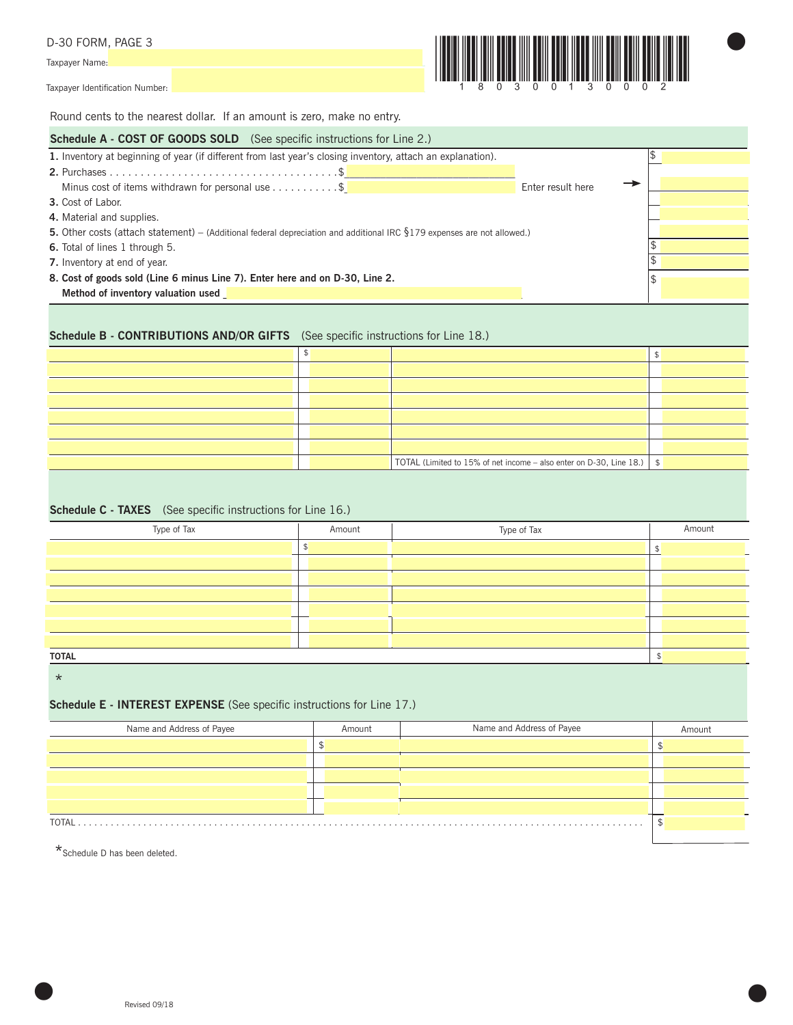Taxpayer Identification Number:



 $\bullet$ 

### Round cents to the nearest dollar. If an amount is zero, make no entry.

| <b>Schedule A - COST OF GOODS SOLD</b> (See specific instructions for Line 2.)                                                     |                   |  |  |  |  |  |  |
|------------------------------------------------------------------------------------------------------------------------------------|-------------------|--|--|--|--|--|--|
| 1. Inventory at beginning of year (if different from last year's closing inventory, attach an explanation).                        |                   |  |  |  |  |  |  |
|                                                                                                                                    |                   |  |  |  |  |  |  |
| Minus cost of items withdrawn for personal use \$                                                                                  | Enter result here |  |  |  |  |  |  |
| 3. Cost of Labor.                                                                                                                  |                   |  |  |  |  |  |  |
| 4. Material and supplies.                                                                                                          |                   |  |  |  |  |  |  |
| <b>5.</b> Other costs (attach statement) – (Additional federal depreciation and additional IRC $\S$ 179 expenses are not allowed.) |                   |  |  |  |  |  |  |
| <b>6.</b> Total of lines 1 through 5.                                                                                              |                   |  |  |  |  |  |  |
| 7. Inventory at end of year.                                                                                                       |                   |  |  |  |  |  |  |
| 8. Cost of goods sold (Line 6 minus Line 7). Enter here and on D-30, Line 2.                                                       |                   |  |  |  |  |  |  |
| Method of inventory valuation used                                                                                                 |                   |  |  |  |  |  |  |
|                                                                                                                                    |                   |  |  |  |  |  |  |

#### **Schedule B - CONTRIBUTIONS AND/OR GIFTS** (See specific instructions for Line 18.)

|  | TOTAL (Limited to 15% of net income – also enter on D-30, Line 18.) $\frac{1}{2}$ |  |
|--|-----------------------------------------------------------------------------------|--|

#### **Schedule C - TAXES** (See specific instructions for Line 16.)

| Type of Tax  | Amount | Type of Tax | Amount |  |  |  |
|--------------|--------|-------------|--------|--|--|--|
|              |        |             | -      |  |  |  |
|              |        |             |        |  |  |  |
|              |        |             |        |  |  |  |
|              |        |             |        |  |  |  |
|              |        |             |        |  |  |  |
|              |        |             |        |  |  |  |
|              |        |             |        |  |  |  |
| <b>TOTAL</b> |        |             |        |  |  |  |

\*

 $\bullet$ 

# **Schedule E - INTEREST EXPENSE** (See specific instructions for Line 17.)

| Name and Address of Payee | Amount | Name and Address of Payee | Amount |  |  |  |  |
|---------------------------|--------|---------------------------|--------|--|--|--|--|
|                           |        |                           |        |  |  |  |  |
|                           |        |                           |        |  |  |  |  |
|                           |        |                           |        |  |  |  |  |
|                           |        |                           |        |  |  |  |  |
|                           |        |                           |        |  |  |  |  |
| TOTAL.                    |        |                           |        |  |  |  |  |

\*Schedule D has been deleted.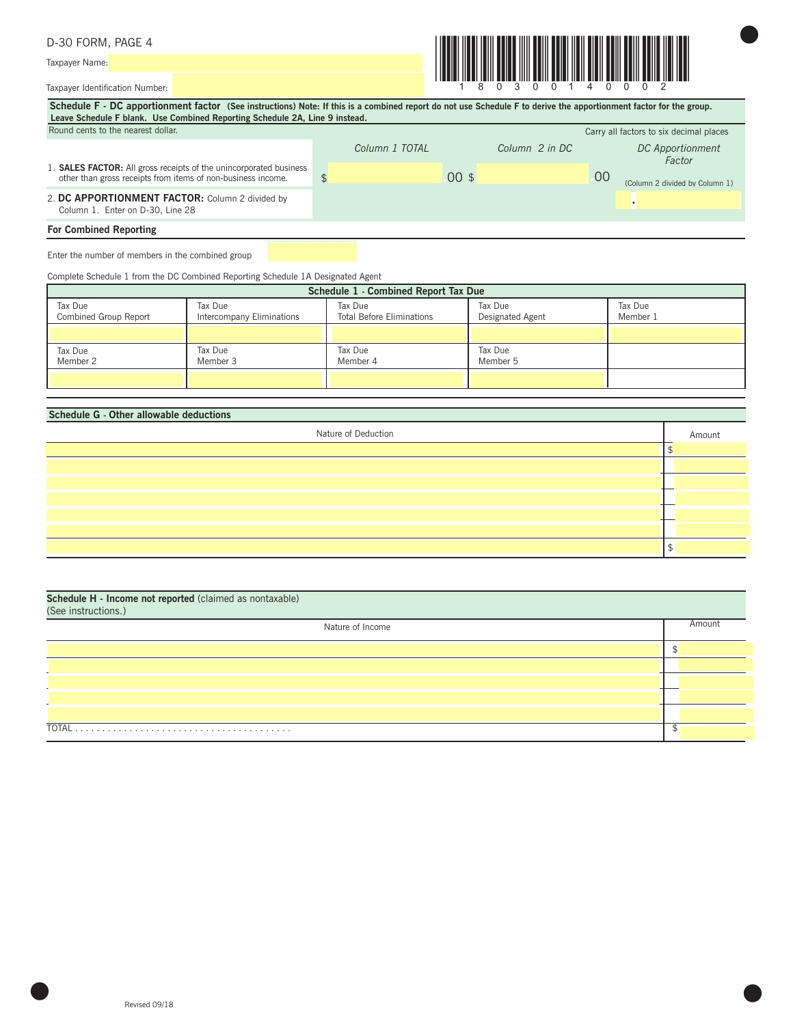#### Taxpayer Identification Number:



 $\bullet$ 

| Schedule F - DC apportionment factor (See instructions) Note: If this is a combined report do not use Schedule F to derive the apportionment factor for the group.<br>Leave Schedule F blank. Use Combined Reporting Schedule 2A, Line 9 instead. |  |                |     |                |    |                                         |  |
|---------------------------------------------------------------------------------------------------------------------------------------------------------------------------------------------------------------------------------------------------|--|----------------|-----|----------------|----|-----------------------------------------|--|
| Round cents to the nearest dollar.                                                                                                                                                                                                                |  |                |     |                |    | Carry all factors to six decimal places |  |
|                                                                                                                                                                                                                                                   |  | Column 1 TOTAL |     | Column 2 in DC |    | <b>DC</b> Apportionment<br>Factor       |  |
| 1. <b>SALES FACTOR:</b> All gross receipts of the unincorporated business<br>other than gross receipts from items of non-business income.                                                                                                         |  |                | 00s |                | 00 | (Column 2 divided by Column 1)          |  |
| 2. DC APPORTIONMENT FACTOR: Column 2 divided by<br>Column 1. Enter on D-30, Line 28                                                                                                                                                               |  |                |     |                |    |                                         |  |
| <b>For Combined Reporting</b>                                                                                                                                                                                                                     |  |                |     |                |    |                                         |  |

Enter the number of members in the combined group

Complete Schedule 1 from the DC Combined Reporting Schedule 1A Designated Agent

|                                  | Schedule 1 - Combined Report Tax Due |                                             |                             |                     |  |  |  |  |  |
|----------------------------------|--------------------------------------|---------------------------------------------|-----------------------------|---------------------|--|--|--|--|--|
| Tax Due<br>Combined Group Report | Tax Due<br>Intercompany Eliminations | Tax Due<br><b>Total Before Eliminations</b> | Tax Due<br>Designated Agent | Tax Due<br>Member 1 |  |  |  |  |  |
|                                  |                                      |                                             |                             |                     |  |  |  |  |  |
| Tax Due<br>Member 2              | Tax Due<br>Member 3                  | Tax Due<br>Member 4                         | Tax Due<br>Member 5         |                     |  |  |  |  |  |
|                                  |                                      |                                             |                             |                     |  |  |  |  |  |

#### **Schedule G - Other allowable deductions**

| Nature of Deduction | Amount |
|---------------------|--------|
|                     |        |
|                     |        |
|                     |        |
|                     |        |
|                     |        |
|                     |        |
|                     |        |

| Schedule H - Income not reported (claimed as nontaxable)<br>(See instructions.) |  |        |  |  |
|---------------------------------------------------------------------------------|--|--------|--|--|
| Nature of Income                                                                |  | Amount |  |  |
|                                                                                 |  |        |  |  |
|                                                                                 |  |        |  |  |
|                                                                                 |  |        |  |  |
|                                                                                 |  |        |  |  |
|                                                                                 |  |        |  |  |
|                                                                                 |  |        |  |  |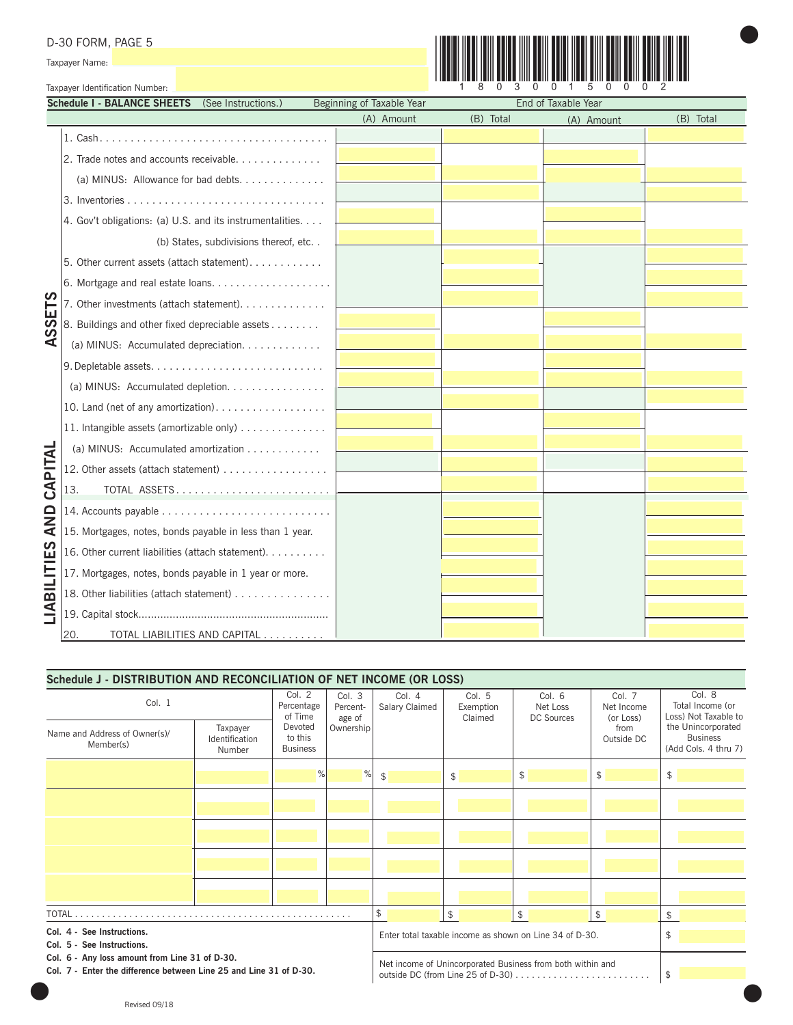Taxpayer Identification Number:



 $\bullet$ 

|             | Schedule I - BALANCE SHEETS (See Instructions.)           | Beginning of Taxable Year | End of Taxable Year |            |           |
|-------------|-----------------------------------------------------------|---------------------------|---------------------|------------|-----------|
|             |                                                           | (A) Amount                | (B) Total           | (A) Amount | (B) Total |
|             |                                                           |                           |                     |            |           |
|             | 2. Trade notes and accounts receivable.                   |                           |                     |            |           |
|             | (a) MINUS: Allowance for bad debts.                       |                           |                     |            |           |
|             |                                                           |                           |                     |            |           |
|             | 4. Gov't obligations: (a) U.S. and its instrumentalities. |                           |                     |            |           |
|             | (b) States, subdivisions thereof, etc                     |                           |                     |            |           |
|             | 5. Other current assets (attach statement).               |                           |                     |            |           |
|             |                                                           |                           |                     |            |           |
| <b>SETS</b> | 7. Other investments (attach statement).                  |                           |                     |            |           |
| ū           | 8. Buildings and other fixed depreciable assets           |                           |                     |            |           |
| ₹           | (a) MINUS: Accumulated depreciation.                      |                           |                     |            |           |
|             |                                                           |                           |                     |            |           |
|             | (a) MINUS: Accumulated depletion.                         |                           |                     |            |           |
|             | 10. Land (net of any amortization).                       |                           |                     |            |           |
|             | 11. Intangible assets (amortizable only)                  |                           |                     |            |           |
|             | (a) MINUS: Accumulated amortization                       |                           |                     |            |           |
| CAPITAL     | 12. Other assets (attach statement)                       |                           |                     |            |           |
|             | TOTAL ASSETS<br>13.                                       |                           |                     |            |           |
|             |                                                           |                           |                     |            |           |
| <b>AND</b>  | 15. Mortgages, notes, bonds payable in less than 1 year.  |                           |                     |            |           |
|             | 16. Other current liabilities (attach statement).         |                           |                     |            |           |
|             | 17. Mortgages, notes, bonds payable in 1 year or more.    |                           |                     |            |           |
|             | 18. Other liabilities (attach statement)                  |                           |                     |            |           |
| LIABILITIES |                                                           |                           |                     |            |           |
|             | 20.<br>TOTAL LIABILITIES AND CAPITAL                      |                           |                     |            |           |

| Schedule J - DISTRIBUTION AND RECONCILIATION OF NET INCOME (OR LOSS)                                                 |                                      |                                       |                              |                                                            |                                |                                         |                                   |                                                               |
|----------------------------------------------------------------------------------------------------------------------|--------------------------------------|---------------------------------------|------------------------------|------------------------------------------------------------|--------------------------------|-----------------------------------------|-----------------------------------|---------------------------------------------------------------|
| Col. 1                                                                                                               |                                      | Col. 2<br>Percentage<br>of Time       | Col. 3<br>Percent-<br>age of | Col. 4<br>Salary Claimed                                   | Col. 5<br>Exemption<br>Claimed | Col. 6<br>Net Loss<br><b>DC Sources</b> | Col. 7<br>Net Income<br>(or Loss) | Col. 8<br>Total Income (or<br>Loss) Not Taxable to            |
| Name and Address of Owner(s)/<br>Member(s)                                                                           | Taxpayer<br>Identification<br>Number | Devoted<br>to this<br><b>Business</b> | Ownership                    |                                                            |                                |                                         | from<br>Outside DC                | the Unincorporated<br><b>Business</b><br>(Add Cols. 4 thru 7) |
|                                                                                                                      |                                      | $\%$                                  | $\%$                         | $\sqrt{2}$                                                 | \$                             | \$                                      | \$                                | \$                                                            |
|                                                                                                                      |                                      |                                       |                              |                                                            |                                |                                         |                                   |                                                               |
|                                                                                                                      |                                      |                                       |                              |                                                            |                                |                                         |                                   |                                                               |
|                                                                                                                      |                                      |                                       |                              |                                                            |                                |                                         |                                   |                                                               |
|                                                                                                                      |                                      |                                       |                              |                                                            |                                |                                         |                                   |                                                               |
|                                                                                                                      |                                      |                                       |                              |                                                            |                                |                                         |                                   |                                                               |
|                                                                                                                      |                                      |                                       |                              |                                                            |                                |                                         |                                   |                                                               |
|                                                                                                                      |                                      |                                       |                              |                                                            |                                |                                         |                                   |                                                               |
| TOTAL.                                                                                                               |                                      |                                       |                              | \$                                                         | \$                             | \$                                      | \$                                | \$                                                            |
| Col. 4 - See Instructions.<br>Col. 5 - See Instructions.                                                             |                                      |                                       |                              | Enter total taxable income as shown on Line 34 of D-30.    |                                |                                         |                                   | \$                                                            |
| Col. 6 - Any loss amount from Line 31 of D-30.<br>Col. 7 - Enter the difference between Line 25 and Line 31 of D-30. |                                      |                                       |                              | Net income of Unincorporated Business from both within and |                                |                                         | \$                                |                                                               |

Revised 09/18 **and 2018** levels and 2018 levels are the control of the control of the control of the control of the control of the control of the control of the control of the control of the control of the control of the c

 $\bullet$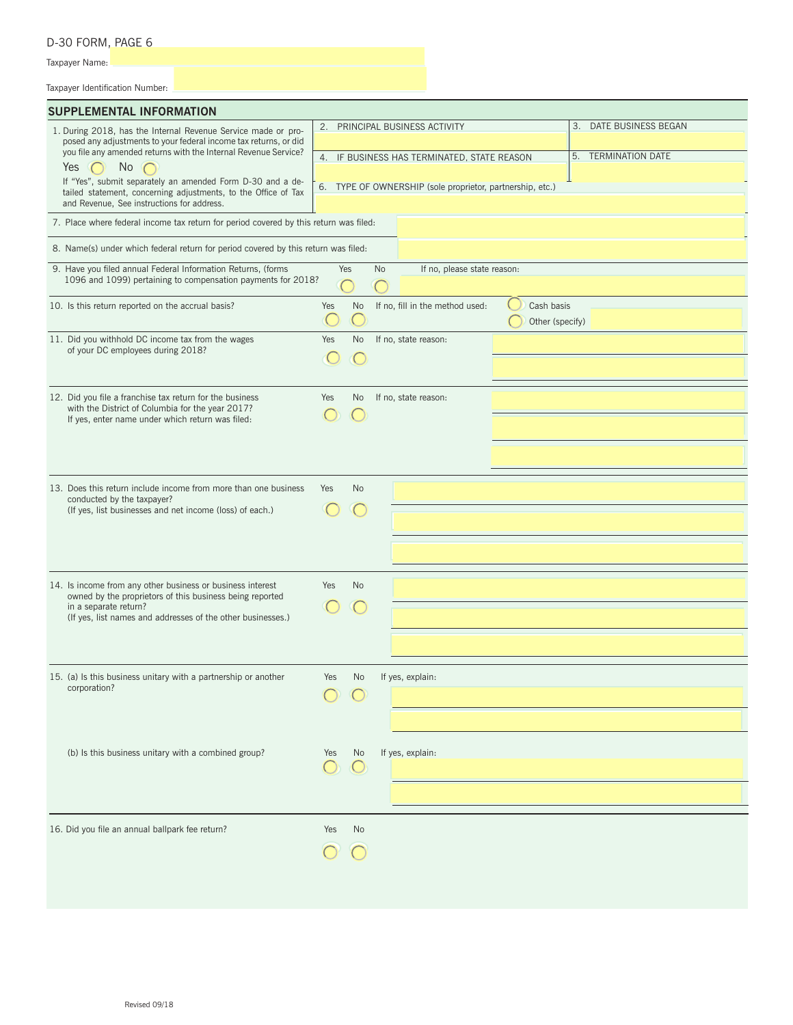Taxpayer Name:

Taxpayer Identification Number:

| <b>SUPPLEMENTAL INFORMATION</b>                                                                                                                                                                      |     |                                                                 |    |                                                           |                               |  |                        |
|------------------------------------------------------------------------------------------------------------------------------------------------------------------------------------------------------|-----|-----------------------------------------------------------------|----|-----------------------------------------------------------|-------------------------------|--|------------------------|
| 1. During 2018, has the Internal Revenue Service made or pro-<br>posed any adjustments to your federal income tax returns, or did<br>you file any amended returns with the Internal Revenue Service? | 2.  |                                                                 |    | PRINCIPAL BUSINESS ACTIVITY                               |                               |  | 3. DATE BUSINESS BEGAN |
| Yes<br>No.<br>If "Yes", submit separately an amended Form D-30 and a de-                                                                                                                             | 4.  | 5. TERMINATION DATE<br>IF BUSINESS HAS TERMINATED, STATE REASON |    |                                                           |                               |  |                        |
| tailed statement, concerning adjustments, to the Office of Tax<br>and Revenue, See instructions for address.                                                                                         |     |                                                                 |    | 6. TYPE OF OWNERSHIP (sole proprietor, partnership, etc.) |                               |  |                        |
| 7. Place where federal income tax return for period covered by this return was filed:                                                                                                                |     |                                                                 |    |                                                           |                               |  |                        |
| 8. Name(s) under which federal return for period covered by this return was filed:                                                                                                                   |     |                                                                 |    |                                                           |                               |  |                        |
| 9. Have you filed annual Federal Information Returns, (forms<br>1096 and 1099) pertaining to compensation payments for 2018?                                                                         |     | Yes                                                             | No | If no, please state reason:                               |                               |  |                        |
| 10. Is this return reported on the accrual basis?                                                                                                                                                    | Yes | No                                                              |    | If no, fill in the method used:                           | Cash basis<br>Other (specify) |  |                        |
| 11. Did you withhold DC income tax from the wages<br>of your DC employees during 2018?                                                                                                               | Yes | No                                                              |    | If no, state reason:                                      |                               |  |                        |
| 12. Did you file a franchise tax return for the business<br>with the District of Columbia for the year 2017?<br>If yes, enter name under which return was filed:                                     | Yes | No.                                                             |    | If no, state reason:                                      |                               |  |                        |
|                                                                                                                                                                                                      |     |                                                                 |    |                                                           |                               |  |                        |
|                                                                                                                                                                                                      |     |                                                                 |    |                                                           |                               |  |                        |
| 13. Does this return include income from more than one business<br>conducted by the taxpayer?<br>(If yes, list businesses and net income (loss) of each.)                                            | Yes | No                                                              |    |                                                           |                               |  |                        |
|                                                                                                                                                                                                      |     |                                                                 |    |                                                           |                               |  |                        |
|                                                                                                                                                                                                      |     |                                                                 |    |                                                           |                               |  |                        |
| 14. Is income from any other business or business interest<br>owned by the proprietors of this business being reported                                                                               | Yes | No                                                              |    |                                                           |                               |  |                        |
| in a separate return?<br>(If yes, list names and addresses of the other businesses.)                                                                                                                 |     |                                                                 |    |                                                           |                               |  |                        |
|                                                                                                                                                                                                      |     |                                                                 |    |                                                           |                               |  |                        |
| 15. (a) Is this business unitary with a partnership or another<br>corporation?                                                                                                                       | Yes | No                                                              |    | If yes, explain:                                          |                               |  |                        |
|                                                                                                                                                                                                      |     |                                                                 |    |                                                           |                               |  |                        |
|                                                                                                                                                                                                      |     |                                                                 |    |                                                           |                               |  |                        |
| (b) Is this business unitary with a combined group?                                                                                                                                                  | Yes | No<br>Ő                                                         |    | If yes, explain:                                          |                               |  |                        |
|                                                                                                                                                                                                      |     |                                                                 |    |                                                           |                               |  |                        |
| 16. Did you file an annual ballpark fee return?                                                                                                                                                      | Yes | No                                                              |    |                                                           |                               |  |                        |
|                                                                                                                                                                                                      |     |                                                                 |    |                                                           |                               |  |                        |
|                                                                                                                                                                                                      |     |                                                                 |    |                                                           |                               |  |                        |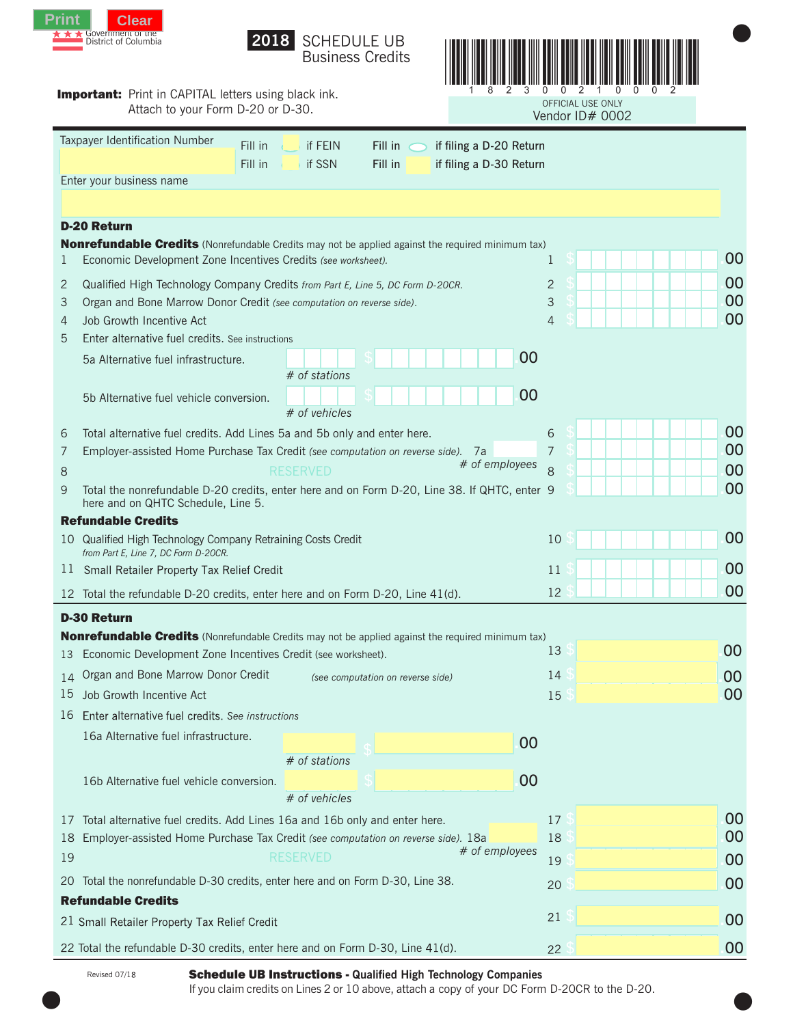





 $\bullet$ 

**Important:** Print in CAPITAL letters using black ink. Attach to your Form D-20 or D-30.

| Taxpayer Identification Number<br>Fill in<br>if FEIN<br>Fill in<br>if filing a D-20 Return<br>if SSN<br>Fill in<br>Fill in<br>if filing a D-30 Return                          |                |          |
|--------------------------------------------------------------------------------------------------------------------------------------------------------------------------------|----------------|----------|
| Enter your business name                                                                                                                                                       |                |          |
|                                                                                                                                                                                |                |          |
| <b>D-20 Return</b>                                                                                                                                                             |                |          |
| <b>Nonrefundable Credits</b> (Nonrefundable Credits may not be applied against the required minimum tax)<br>Economic Development Zone Incentives Credits (see worksheet).<br>1 | 1              | 00       |
| 2<br>Qualified High Technology Company Credits from Part E, Line 5, DC Form D-20CR.                                                                                            | 2              | 00       |
| 3<br>Organ and Bone Marrow Donor Credit (see computation on reverse side).                                                                                                     | 3              | 00       |
| Job Growth Incentive Act<br>4                                                                                                                                                  | $\overline{4}$ | 00       |
| Enter alternative fuel credits, See instructions<br>5<br>00                                                                                                                    |                |          |
| 5a Alternative fuel infrastructure.<br>$#$ of stations                                                                                                                         |                |          |
| 00<br>5b Alternative fuel vehicle conversion.<br># of vehicles                                                                                                                 |                |          |
| Total alternative fuel credits. Add Lines 5a and 5b only and enter here.<br>6                                                                                                  | 6              | 00       |
| 7<br>Employer-assisted Home Purchase Tax Credit (see computation on reverse side). 7a                                                                                          | 7              | 00       |
| # of employees<br><b>RESERVED</b><br>8                                                                                                                                         | 8              | 00       |
| Total the nonrefundable D-20 credits, enter here and on Form D-20, Line 38. If QHTC, enter 9<br>9<br>here and on QHTC Schedule, Line 5.                                        |                | 00       |
| <b>Refundable Credits</b>                                                                                                                                                      |                |          |
| Qualified High Technology Company Retraining Costs Credit<br>10<br>from Part E, Line 7, DC Form D-20CR.                                                                        | 10             | 00       |
| 11 Small Retailer Property Tax Relief Credit                                                                                                                                   | 11             | 00       |
| 12 Total the refundable D-20 credits, enter here and on Form D-20, Line 41(d).                                                                                                 | 12             | 00       |
| <b>D-30 Return</b>                                                                                                                                                             |                |          |
| <b>Nonrefundable Credits</b> (Nonrefundable Credits may not be applied against the required minimum tax)                                                                       | 13             | 00       |
| Economic Development Zone Incentives Credit (see worksheet).<br>13                                                                                                             | 14             |          |
| Organ and Bone Marrow Donor Credit<br>14<br>(see computation on reverse side)<br>15 Job Growth Incentive Act                                                                   |                | 00<br>00 |
| Enter alternative fuel credits. See instructions<br>16                                                                                                                         | 15             |          |
| 16a Alternative fuel infrastructure.                                                                                                                                           |                |          |
| 00<br># of stations                                                                                                                                                            |                |          |
| 00<br>16b Alternative fuel vehicle conversion.                                                                                                                                 |                |          |
| # of vehicles                                                                                                                                                                  |                |          |
| Total alternative fuel credits. Add Lines 16a and 16b only and enter here.<br>17                                                                                               | 17             | 00       |
| Employer-assisted Home Purchase Tax Credit (see computation on reverse side). 18a<br>18                                                                                        | 18             | 00       |
| # of employees<br><b>RESERVED</b><br>19                                                                                                                                        | 19             | 00       |
| Total the nonrefundable D-30 credits, enter here and on Form D-30, Line 38.<br>20                                                                                              | 20             | 00       |
| <b>Refundable Credits</b>                                                                                                                                                      |                |          |
| 21 Small Retailer Property Tax Relief Credit                                                                                                                                   | 21             | 00       |
| 22 Total the refundable D-30 credits, enter here and on Form D-30, Line 41(d).                                                                                                 | 22             | 00       |

If you claim credits on Lines 2 or 10 above, attach a copy of your DC Form D-20CR to the D-20.

Revised 07/1

Schedule UB Instructions - **Qualified High Technology Companies**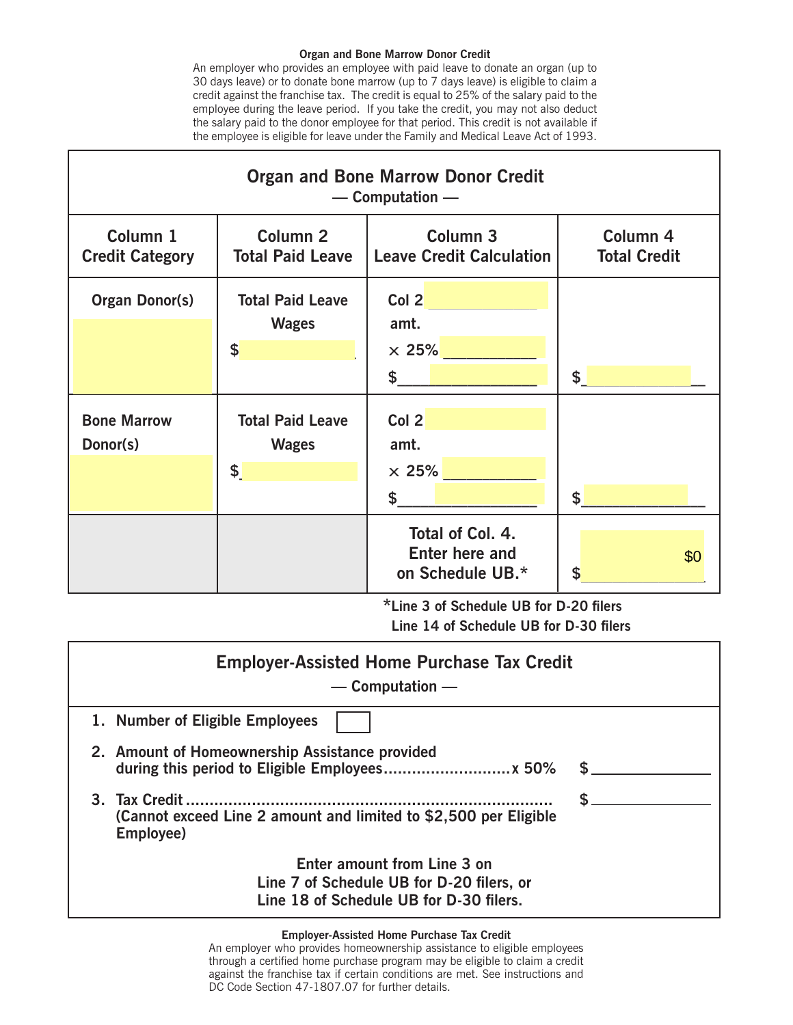#### **Organ and Bone Marrow Donor Credit**

An employer who provides an employee with paid leave to donate an organ (up to 30 days leave) or to donate bone marrow (up to 7 days leave) is eligible to claim a credit against the franchise tax. The credit is equal to 25% of the salary paid to the employee during the leave period. If you take the credit, you may not also deduct the salary paid to the donor employee for that period. This credit is not available if the employee is eligible for leave under the Family and Medical Leave Act of 1993.

|                                    |                                                                      | <b>Organ and Bone Marrow Donor Credit</b><br>$-$ Computation $-$ |                                            |
|------------------------------------|----------------------------------------------------------------------|------------------------------------------------------------------|--------------------------------------------|
| Column 1<br><b>Credit Category</b> | Column <sub>2</sub><br><b>Total Paid Leave</b>                       | Column <sub>3</sub><br>Leave Credit Calculation                  | Column <sub>4</sub><br><b>Total Credit</b> |
| <b>Organ Donor(s)</b>              | <b>Total Paid Leave</b><br><b>Wages</b><br>$\boldsymbol{\mathsf{S}}$ | Col 2<br>amt.<br>$\times$ 25%<br>\$                              | $\boldsymbol{\mathsf{s}}$                  |
| <b>Bone Marrow</b><br>Donor(s)     | <b>Total Paid Leave</b><br><b>Wages</b><br>$\boldsymbol{\mathsf{S}}$ | Col 2<br>amt.<br>$\times$ 25% $\overline{\qquad \qquad }$<br>\$  | $\mathbf{s}$                               |
|                                    |                                                                      | Total of Col. 4.<br><b>Enter here and</b><br>on Schedule UB.*    | \$0<br>$\mathbf{\hat{S}}$                  |

**\*Line 3 of Schedule UB for D-20 filers Line 14 of Schedule UB for D-30 filers**

| <b>Employer-Assisted Home Purchase Tax Credit</b><br>$-$ Computation $-$             |  |
|--------------------------------------------------------------------------------------|--|
| 1. Number of Eligible Employees                                                      |  |
| 2. Amount of Homeownership Assistance provided                                       |  |
| (Cannot exceed Line 2 amount and limited to \$2,500 per Eligible<br>Employee)        |  |
| Enter amount from Line 3 on                                                          |  |
| Line 7 of Schedule UB for D-20 filers, or<br>Line 18 of Schedule UB for D-30 filers. |  |
|                                                                                      |  |

**Employer-Assisted Home Purchase Tax Credit**

An employer who provides homeownership assistance to eligible employees through a certified home purchase program may be eligible to claim a credit against the franchise tax if certain conditions are met. See instructions and DC Code Section 47-1807.07 for further details.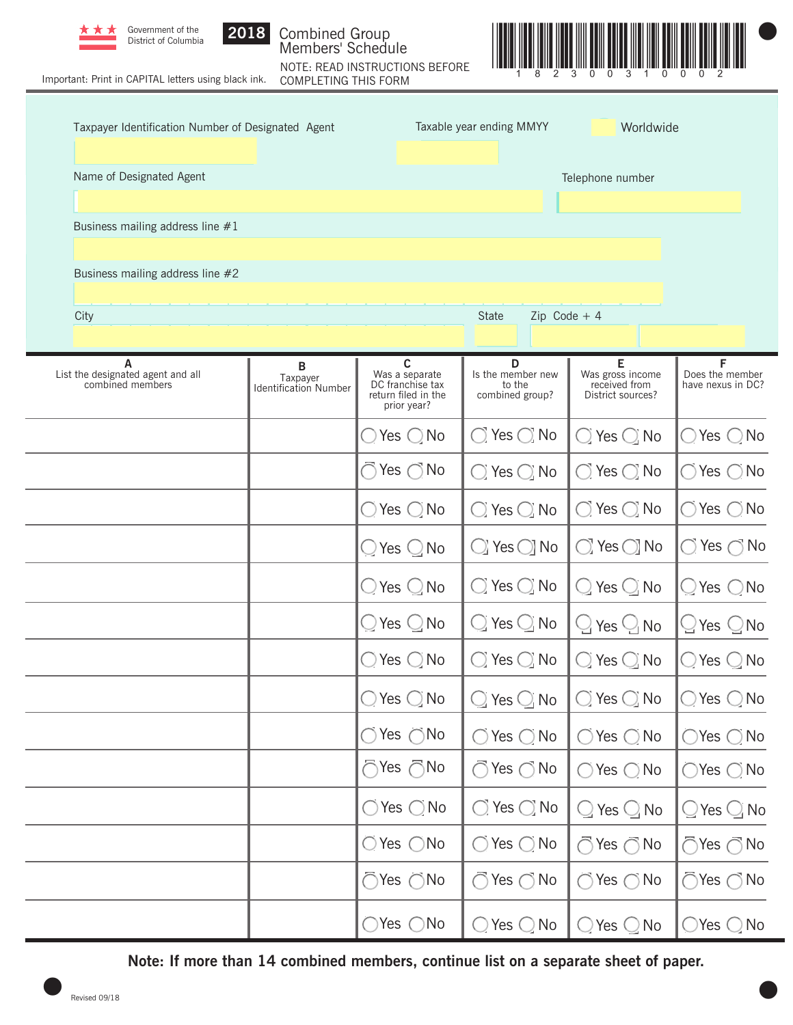



Combined Group<br>Members' Schedule

NOTE: READ INSTRUCTIONS BEFORE COMPLETING THIS FORM



Important: Print in CAPITAL letters using black ink.

| Taxpayer Identification Number of Designated Agent    |                                               |                                                                               | Taxable year ending MMYY                            | Worldwide                                                   |                                           |
|-------------------------------------------------------|-----------------------------------------------|-------------------------------------------------------------------------------|-----------------------------------------------------|-------------------------------------------------------------|-------------------------------------------|
| Name of Designated Agent                              |                                               |                                                                               |                                                     | Telephone number                                            |                                           |
| Business mailing address line #1                      |                                               |                                                                               |                                                     |                                                             |                                           |
| Business mailing address line #2                      |                                               |                                                                               |                                                     |                                                             |                                           |
| City                                                  |                                               |                                                                               | Zip Code $+4$<br>State                              |                                                             |                                           |
| List the designated agent and all<br>combined members | в<br>Taxpayer<br><b>Identification Number</b> | C<br>Was a separate<br>DC franchise tax<br>return filed in the<br>prior year? | D<br>Is the member new<br>to the<br>combined group? | Е<br>Was gross income<br>received from<br>District sources? | F<br>Does the member<br>have nexus in DC? |
|                                                       |                                               | $\bigcirc$ Yes $\bigcirc$ No                                                  | Yes $\bigcirc$ No<br>◯                              | $\bigcirc$ Yes $\bigcirc$ No                                | Yes $\bigcirc$ No<br>◯                    |
|                                                       |                                               | $\bigcirc$ Yes $\bigcirc$ No                                                  | $\bigcirc$ Yes $\bigcirc$ No                        | $\bigcirc$ Yes $\bigcirc$ No                                | Yes $\bigcirc$ No<br>◯                    |
|                                                       |                                               | $\bigcirc$ Yes $\bigcirc$ No                                                  | $\bigcirc$ Yes $\bigcirc$ No                        | Yes $\bigcirc$ No<br>◯                                      | ◯<br>Yes $\bigcirc$ No                    |
|                                                       |                                               | $\bigcirc$ Yes $\bigcirc$ No                                                  | $\bigcirc$ Yes $\bigcirc$ No                        | $\bigcirc$ Yes $\bigcirc$ No                                | $\bigcirc$ Yes $\bigcirc$ No              |
|                                                       |                                               | $\bigcirc$ Yes $\bigcirc$ No                                                  | $\bigcirc$ Yes $\bigcirc$ No                        | $Q$ Yes $Q$ No                                              | $\bigcirc$ Yes $\bigcirc$ No              |
|                                                       |                                               | $\bigcirc$ Yes $\bigcirc$ No                                                  | $\bigcirc$ Yes $\bigcirc$ No                        | $\bigcirc$ Yes $\bigcirc$ No                                | $\bigcirc$ Yes $\bigcirc$ No              |
|                                                       |                                               | $\bigcirc$ Yes $\bigcirc$ No                                                  | $\bigcirc$ Yes $\bigcirc$ No                        | $\bigcirc$ Yes $\bigcirc$ No                                | $\bigcirc$ Yes $\bigcirc$ No              |
|                                                       |                                               | $\bigcirc$ Yes $\bigcirc$ No                                                  | $\bigcirc$ Yes $\bigcirc$ No                        | $\bigcirc$ Yes $\bigcirc$ No                                | $\bigcirc$ Yes $\bigcirc$ No              |
|                                                       |                                               | $\bigcirc$ Yes $\bigcirc$ No                                                  | $\bigcirc$ Yes $\bigcirc$ No                        | $\bigcirc$ Yes $\bigcirc$ No                                | $\bigcirc$ Yes $\bigcirc$ No              |
|                                                       |                                               | ⊘Yes ∂No                                                                      | $\overline{O}$ Yes $\overline{O}$ No                | $\bigcirc$ Yes $\bigcirc$ No                                | $\bigcirc$ Yes $\bigcirc$ No              |
|                                                       |                                               | $\bigcirc$ Yes $\bigcirc$ No                                                  | $\bigcirc$ Yes $\bigcirc$ No                        | $\bigcirc$ Yes $\bigcirc$ No                                | $\bigcirc$ Yes $\bigcirc$ No              |
|                                                       |                                               | $\bigcirc$ Yes $\bigcirc$ No                                                  | $\bigcirc$ Yes $\bigcirc$ No                        | $\overline{O}$ Yes $\overline{O}$ No                        | $\overline{O}$ Yes $\overline{O}$ No      |
|                                                       |                                               | ◯Yes ◯No                                                                      | $\overline{\bigcirc}$ Yes $\overline{\bigcirc}$ No  | $\overline{O}$ Yes $\overline{O}$ No                        | $\bigcirc$ Yes $\bigcirc$ No              |
|                                                       |                                               | $\bigcirc$ Yes $\bigcirc$ No                                                  | Yes $\bigcirc$ No<br>$\bigcirc$                     | $\bigcirc$ Yes $\bigcirc$ No                                | $\bigcirc$ Yes $\bigcirc$ No              |

Note: If more than 14 combined members, continue list on a separate sheet of paper.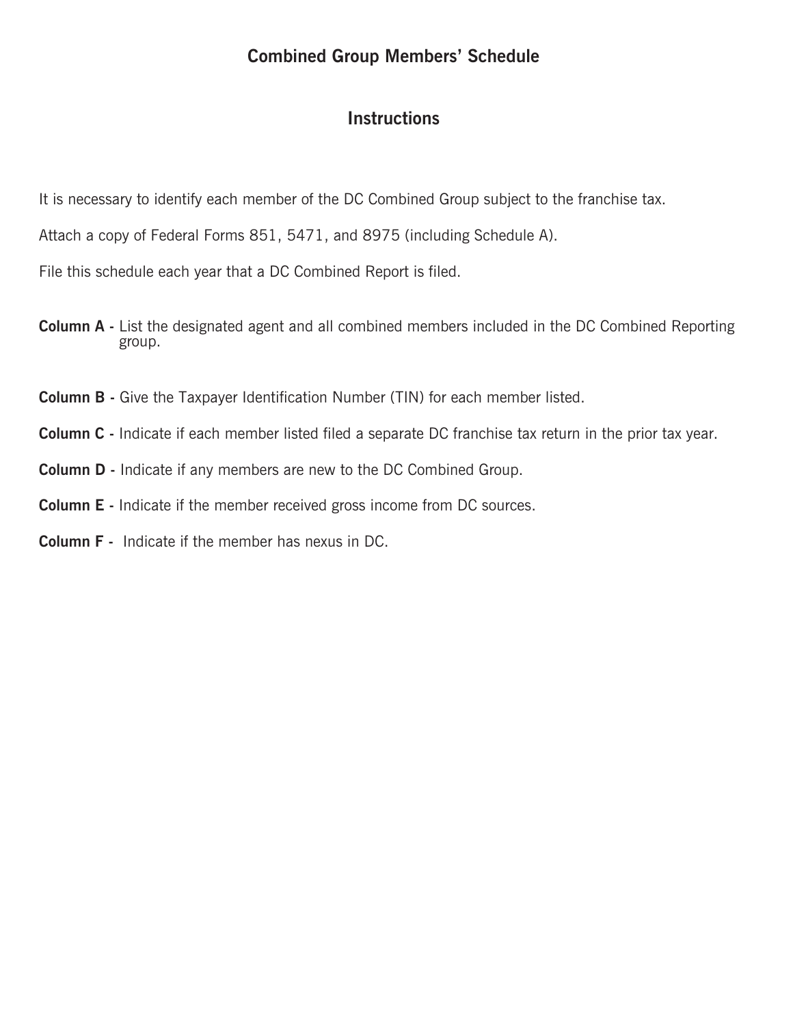# **Combined Group Members' Schedule**

# **Instructions**

It is necessary to identify each member of the DC Combined Group subject to the franchise tax.

Attach a copy of Federal Forms 851, 5471, and 8975 (including Schedule A).

File this schedule each year that a DC Combined Report is filed.

- **Column A** List the designated agent and all combined members included in the DC Combined Reporting group.
- **Column B** Give the Taxpayer Identification Number (TIN) for each member listed.
- Column C Indicate if each member listed filed a separate DC franchise tax return in the prior tax year.
- **Column D** Indicate if any members are new to the DC Combined Group.
- **Column E** Indicate if the member received gross income from DC sources.
- **Column F** Indicate if the member has nexus in DC.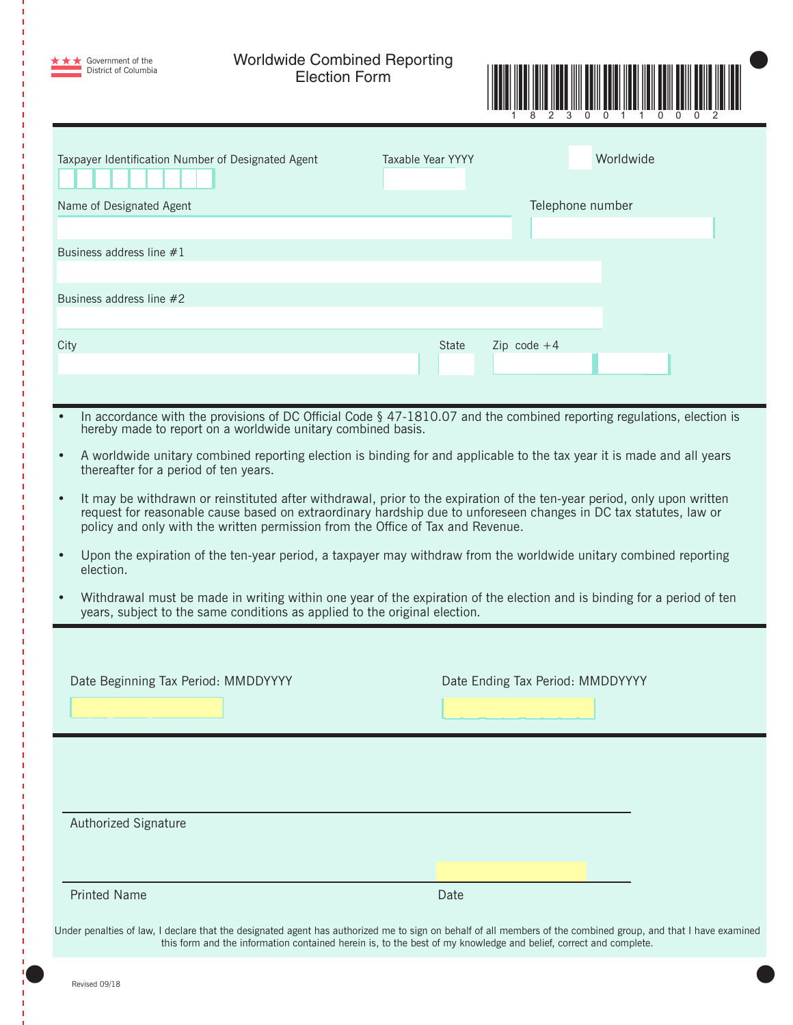| Taxpayer Identification Number of Designated Agent<br>Name of Designated Agent<br>Business address line #1<br>Business address line #2<br>City<br>In accordance with the provisions of DC Official Code § 47-1810.07 and the combined reporting regulations, election is<br>$\bullet$<br>hereby made to report on a worldwide unitary combined basis.<br>A worldwide unitary combined reporting election is binding for and applicable to the tax year it is made and all years<br>$\bullet$<br>thereafter for a period of ten years.<br>It may be withdrawn or reinstituted after withdrawal, prior to the expiration of the ten-year period, only upon written<br>$\bullet$<br>request for reasonable cause based on extraordinary hardship due to unforeseen changes in DC tax statutes, law or<br>policy and only with the written permission from the Office of Tax and Revenue.<br>Upon the expiration of the ten-year period, a taxpayer may withdraw from the worldwide unitary combined reporting<br>$\bullet$<br>election.<br>Withdrawal must be made in writing within one year of the expiration of the election and is binding for a period of ten<br>$\bullet$<br>years, subject to the same conditions as applied to the original election.<br>Date Beginning Tax Period: MMDDYYYY | Taxable Year YYYY<br>State | Telephone number<br>Zip code $+4$ | Worldwide |
|---------------------------------------------------------------------------------------------------------------------------------------------------------------------------------------------------------------------------------------------------------------------------------------------------------------------------------------------------------------------------------------------------------------------------------------------------------------------------------------------------------------------------------------------------------------------------------------------------------------------------------------------------------------------------------------------------------------------------------------------------------------------------------------------------------------------------------------------------------------------------------------------------------------------------------------------------------------------------------------------------------------------------------------------------------------------------------------------------------------------------------------------------------------------------------------------------------------------------------------------------------------------------------------------------|----------------------------|-----------------------------------|-----------|
|                                                                                                                                                                                                                                                                                                                                                                                                                                                                                                                                                                                                                                                                                                                                                                                                                                                                                                                                                                                                                                                                                                                                                                                                                                                                                                   |                            |                                   |           |
|                                                                                                                                                                                                                                                                                                                                                                                                                                                                                                                                                                                                                                                                                                                                                                                                                                                                                                                                                                                                                                                                                                                                                                                                                                                                                                   |                            |                                   |           |
|                                                                                                                                                                                                                                                                                                                                                                                                                                                                                                                                                                                                                                                                                                                                                                                                                                                                                                                                                                                                                                                                                                                                                                                                                                                                                                   |                            |                                   |           |
|                                                                                                                                                                                                                                                                                                                                                                                                                                                                                                                                                                                                                                                                                                                                                                                                                                                                                                                                                                                                                                                                                                                                                                                                                                                                                                   |                            |                                   |           |
|                                                                                                                                                                                                                                                                                                                                                                                                                                                                                                                                                                                                                                                                                                                                                                                                                                                                                                                                                                                                                                                                                                                                                                                                                                                                                                   |                            |                                   |           |
|                                                                                                                                                                                                                                                                                                                                                                                                                                                                                                                                                                                                                                                                                                                                                                                                                                                                                                                                                                                                                                                                                                                                                                                                                                                                                                   |                            |                                   |           |
|                                                                                                                                                                                                                                                                                                                                                                                                                                                                                                                                                                                                                                                                                                                                                                                                                                                                                                                                                                                                                                                                                                                                                                                                                                                                                                   |                            |                                   |           |
|                                                                                                                                                                                                                                                                                                                                                                                                                                                                                                                                                                                                                                                                                                                                                                                                                                                                                                                                                                                                                                                                                                                                                                                                                                                                                                   |                            |                                   |           |
|                                                                                                                                                                                                                                                                                                                                                                                                                                                                                                                                                                                                                                                                                                                                                                                                                                                                                                                                                                                                                                                                                                                                                                                                                                                                                                   |                            | Date Ending Tax Period: MMDDYYYY  |           |
| Authorized Signature                                                                                                                                                                                                                                                                                                                                                                                                                                                                                                                                                                                                                                                                                                                                                                                                                                                                                                                                                                                                                                                                                                                                                                                                                                                                              |                            |                                   |           |
| <b>Printed Name</b>                                                                                                                                                                                                                                                                                                                                                                                                                                                                                                                                                                                                                                                                                                                                                                                                                                                                                                                                                                                                                                                                                                                                                                                                                                                                               |                            |                                   |           |
| Under penalties of law, I declare that the designated agent has authorized me to sign on behalf of all members of the combined group, and that I have examined<br>this form and the information contained herein is, to the best of my knowledge and belief, correct and complete.                                                                                                                                                                                                                                                                                                                                                                                                                                                                                                                                                                                                                                                                                                                                                                                                                                                                                                                                                                                                                | Date                       |                                   |           |